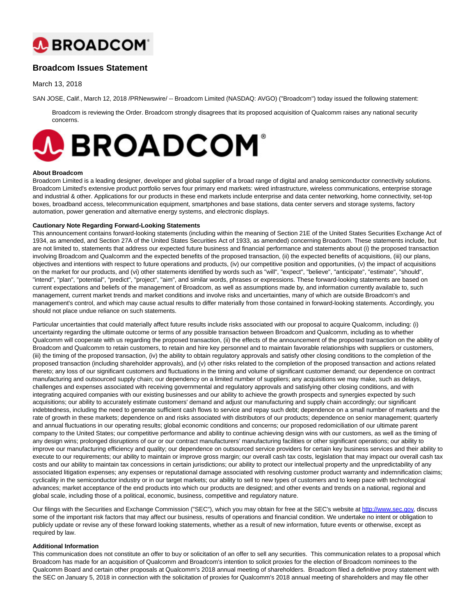

# **Broadcom Issues Statement**

March 13, 2018

SAN JOSE, Calif., March 12, 2018 /PRNewswire/ -- Broadcom Limited (NASDAQ: AVGO) ("Broadcom") today issued the following statement:

Broadcom is reviewing the Order. Broadcom strongly disagrees that its proposed acquisition of Qualcomm raises any national security concerns.



## **About Broadcom**

Broadcom Limited is a leading designer, developer and global supplier of a broad range of digital and analog semiconductor connectivity solutions. Broadcom Limited's extensive product portfolio serves four primary end markets: wired infrastructure, wireless communications, enterprise storage and industrial & other. Applications for our products in these end markets include enterprise and data center networking, home connectivity, set-top boxes, broadband access, telecommunication equipment, smartphones and base stations, data center servers and storage systems, factory automation, power generation and alternative energy systems, and electronic displays.

# **Cautionary Note Regarding Forward-Looking Statements**

This announcement contains forward-looking statements (including within the meaning of Section 21E of the United States Securities Exchange Act of 1934, as amended, and Section 27A of the United States Securities Act of 1933, as amended) concerning Broadcom. These statements include, but are not limited to, statements that address our expected future business and financial performance and statements about (i) the proposed transaction involving Broadcom and Qualcomm and the expected benefits of the proposed transaction, (ii) the expected benefits of acquisitions, (iii) our plans, objectives and intentions with respect to future operations and products, (iv) our competitive position and opportunities, (v) the impact of acquisitions on the market for our products, and (vi) other statements identified by words such as "will", "expect", "believe", "anticipate", "estimate", "should", "intend", "plan", "potential", "predict", "project", "aim", and similar words, phrases or expressions. These forward-looking statements are based on current expectations and beliefs of the management of Broadcom, as well as assumptions made by, and information currently available to, such management, current market trends and market conditions and involve risks and uncertainties, many of which are outside Broadcom's and management's control, and which may cause actual results to differ materially from those contained in forward-looking statements. Accordingly, you should not place undue reliance on such statements.

Particular uncertainties that could materially affect future results include risks associated with our proposal to acquire Qualcomm, including: (i) uncertainty regarding the ultimate outcome or terms of any possible transaction between Broadcom and Qualcomm, including as to whether Qualcomm will cooperate with us regarding the proposed transaction, (ii) the effects of the announcement of the proposed transaction on the ability of Broadcom and Qualcomm to retain customers, to retain and hire key personnel and to maintain favorable relationships with suppliers or customers, (iii) the timing of the proposed transaction, (iv) the ability to obtain regulatory approvals and satisfy other closing conditions to the completion of the proposed transaction (including shareholder approvals), and (v) other risks related to the completion of the proposed transaction and actions related thereto; any loss of our significant customers and fluctuations in the timing and volume of significant customer demand; our dependence on contract manufacturing and outsourced supply chain; our dependency on a limited number of suppliers; any acquisitions we may make, such as delays, challenges and expenses associated with receiving governmental and regulatory approvals and satisfying other closing conditions, and with integrating acquired companies with our existing businesses and our ability to achieve the growth prospects and synergies expected by such acquisitions; our ability to accurately estimate customers' demand and adjust our manufacturing and supply chain accordingly; our significant indebtedness, including the need to generate sufficient cash flows to service and repay such debt; dependence on a small number of markets and the rate of growth in these markets; dependence on and risks associated with distributors of our products; dependence on senior management; quarterly and annual fluctuations in our operating results; global economic conditions and concerns; our proposed redomiciliation of our ultimate parent company to the United States; our competitive performance and ability to continue achieving design wins with our customers, as well as the timing of any design wins; prolonged disruptions of our or our contract manufacturers' manufacturing facilities or other significant operations; our ability to improve our manufacturing efficiency and quality; our dependence on outsourced service providers for certain key business services and their ability to execute to our requirements; our ability to maintain or improve gross margin; our overall cash tax costs, legislation that may impact our overall cash tax costs and our ability to maintain tax concessions in certain jurisdictions; our ability to protect our intellectual property and the unpredictability of any associated litigation expenses; any expenses or reputational damage associated with resolving customer product warranty and indemnification claims; cyclicality in the semiconductor industry or in our target markets; our ability to sell to new types of customers and to keep pace with technological advances; market acceptance of the end products into which our products are designed; and other events and trends on a national, regional and global scale, including those of a political, economic, business, competitive and regulatory nature.

Our filings with the Securities and Exchange Commission ("SEC"), which you may obtain for free at the SEC's website at [http://www.sec.gov,](http://www.sec.gov/) discuss some of the important risk factors that may affect our business, results of operations and financial condition. We undertake no intent or obligation to publicly update or revise any of these forward looking statements, whether as a result of new information, future events or otherwise, except as required by law.

# **Additional Information**

This communication does not constitute an offer to buy or solicitation of an offer to sell any securities. This communication relates to a proposal which Broadcom has made for an acquisition of Qualcomm and Broadcom's intention to solicit proxies for the election of Broadcom nominees to the Qualcomm Board and certain other proposals at Qualcomm's 2018 annual meeting of shareholders. Broadcom filed a definitive proxy statement with the SEC on January 5, 2018 in connection with the solicitation of proxies for Qualcomm's 2018 annual meeting of shareholders and may file other